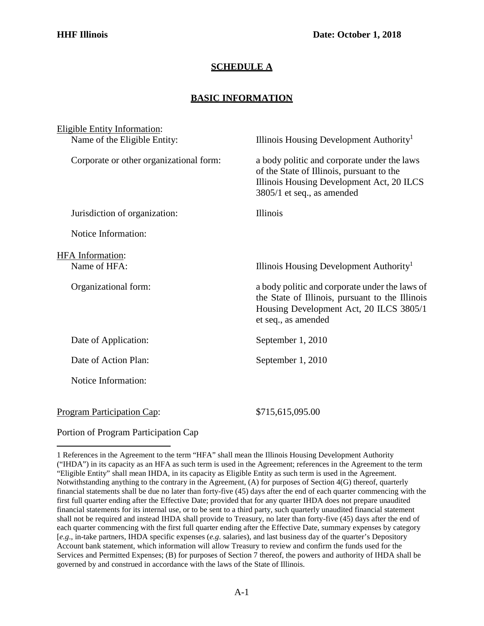## **SCHEDULE A**

## **BASIC INFORMATION**

| <b>Eligible Entity Information:</b>     |                                                                                                                                                                     |
|-----------------------------------------|---------------------------------------------------------------------------------------------------------------------------------------------------------------------|
| Name of the Eligible Entity:            | Illinois Housing Development Authority <sup>1</sup>                                                                                                                 |
| Corporate or other organizational form: | a body politic and corporate under the laws<br>of the State of Illinois, pursuant to the<br>Illinois Housing Development Act, 20 ILCS<br>3805/1 et seq., as amended |
| Jurisdiction of organization:           | <b>Illinois</b>                                                                                                                                                     |
| Notice Information:                     |                                                                                                                                                                     |
| <b>HFA</b> Information:                 |                                                                                                                                                                     |
| Name of HFA:                            | Illinois Housing Development Authority <sup>1</sup>                                                                                                                 |
| Organizational form:                    | a body politic and corporate under the laws of<br>the State of Illinois, pursuant to the Illinois<br>Housing Development Act, 20 ILCS 3805/1<br>et seq., as amended |
| Date of Application:                    | September 1, 2010                                                                                                                                                   |
| Date of Action Plan:                    | September 1, 2010                                                                                                                                                   |
| Notice Information:                     |                                                                                                                                                                     |
| <b>Program Participation Cap:</b>       | \$715,615,095.00                                                                                                                                                    |

Portion of Program Participation Cap

<span id="page-0-0"></span><sup>1</sup> References in the Agreement to the term "HFA" shall mean the Illinois Housing Development Authority ("IHDA") in its capacity as an HFA as such term is used in the Agreement; references in the Agreement to the term "Eligible Entity" shall mean IHDA, in its capacity as Eligible Entity as such term is used in the Agreement. Notwithstanding anything to the contrary in the Agreement, (A) for purposes of Section 4(G) thereof, quarterly financial statements shall be due no later than forty-five (45) days after the end of each quarter commencing with the first full quarter ending after the Effective Date; provided that for any quarter IHDA does not prepare unaudited financial statements for its internal use, or to be sent to a third party, such quarterly unaudited financial statement shall not be required and instead IHDA shall provide to Treasury, no later than forty-five (45) days after the end of each quarter commencing with the first full quarter ending after the Effective Date, summary expenses by category [*e.g*., in-take partners, IHDA specific expenses (*e.g*. salaries), and last business day of the quarter's Depository Account bank statement, which information will allow Treasury to review and confirm the funds used for the Services and Permitted Expenses; (B) for purposes of Section 7 thereof, the powers and authority of IHDA shall be governed by and construed in accordance with the laws of the State of Illinois.